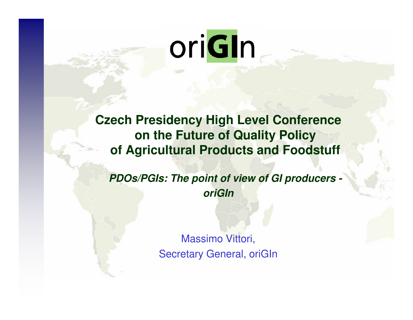# oriGIn

**Czech Presidency High Level Conference on the Future of Quality Policy of Agricultural Products and Foodstuff**

**PDOs/PGIs: The point of view of GI producers oriGIn** 

> Massimo Vittori,Secretary General, oriGIn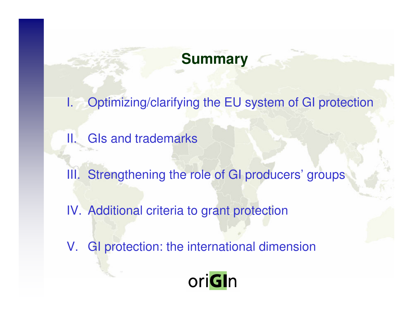# **Summary**

- I. Optimizing/clarifying the EU system of GI protection
- II. GIs and trademarks
- III. Strengthening the role of GI producers' groups
- IV. Additional criteria to grant protection
- V. GI protection: the international dimension

# oriGIn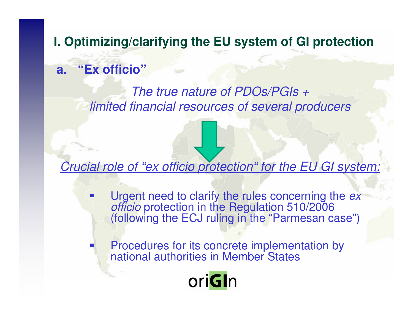#### **I. Optimizing/clarifying the EU system of GI protection**

#### **a. "Ex officio"**

k.

#### The true nature of PDOs/PGIs + limited financial resources of several producers

#### Crucial role of "ex officio protection" for the EU GI system:

- k.  $\blacksquare$  Urgent need to clarify the rules concerning the  $ex$ officio protection in the Regulation 510/2006 (following the ECJ ruling in the "Parmesan case")
	- Procedures for its concrete implementation by national authorities in Member States

# oriGIn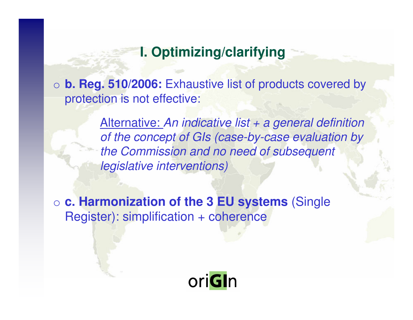#### **I. Optimizing/clarifying**

o **b. Reg. 510/2006:** Exhaustive list of products covered by protection is not effective:

> Alternative: An indicative list + a general definition of the concept of GIs (case-by-case evaluation by the Commission and no need of subsequent legislative interventions)

o **c. Harmonization of the 3 EU systems** (Single Register): simplification + coherence

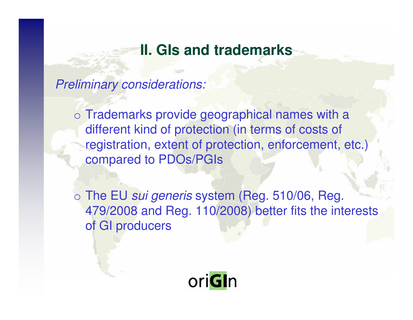#### **II. GIs and trademarks**

Preliminary considerations:

o Trademarks provide geographical names with a different kind of protection (in terms of costs of registration, extent of protection, enforcement, etc.) compared to PDOs/PGIs

o The EU sui generis system (Reg. 510/06, Reg. 479/2008 and Reg. 110/2008) better fits the interests of GI producers

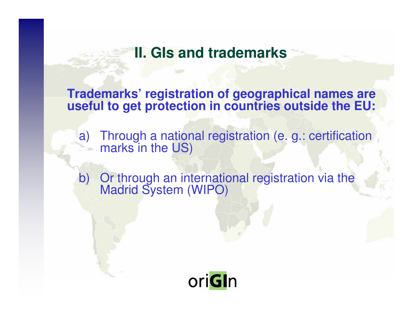**II. GIs and trademarks** 

**Trademarks' registration of geographical names are useful to get protection in countries outside the EU:**

a) Through a national registration (e. g.: certification marks in the US)

b) Or through an international registration via the Madrid System (WIPO)

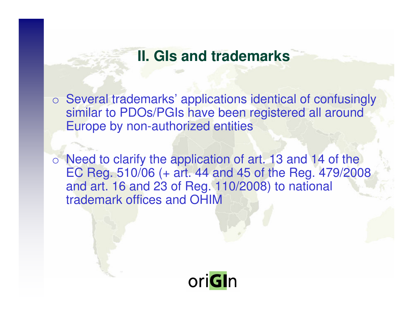#### **II. GIs and trademarks**

o Several trademarks' applications identical of confusingly similar to PDOs/PGIs have been registered all aroundEurope by non-authorized entities

o Need to clarify the application of art. 13 and 14 of the EC Reg. 510/06 (+ art. 44 and 45 of the Reg. 479/2008 and art. 16 and 23 of Reg. 110/2008) to national trademark offices and OHIM

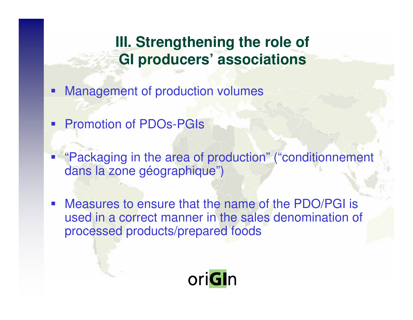# **III. Strengthening the role of GI producers' associations**

- **Service Service** Management of production volumes
- Promotion of PDOs-PGIs
- "Packaging in the area of production" ("conditionnement dans la zone géographique")
- Measures to ensure that the name of the PDO/PGI is used in a correct manner in the sales denomination of processed products/prepared foods

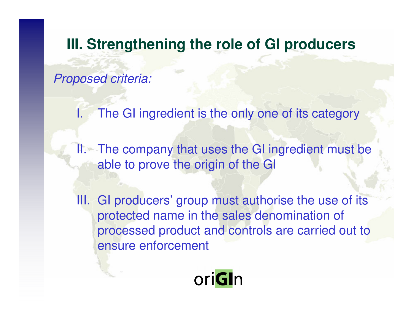### **III. Strengthening the role of GI producers**

Proposed criteria:

The GI ingredient is the only one of its category

II. The company that uses the GI ingredient must be able to prove the origin of the GI

III. GI producers' group must authorise the use of its protected name in the sales denomination of processed product and controls are carried out to ensure enforcement

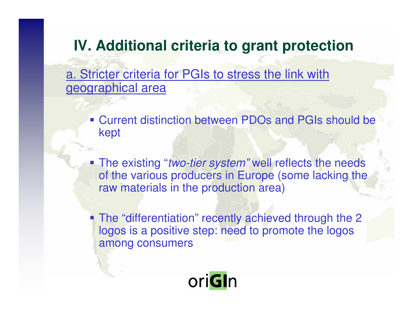# **IV. Additional criteria to grant protection**

a. Stricter criteria for PGIs to stress the link with geographical area

- **Current distinction between PDOs and PGIs should be** kept
- The existing "*two-tier system"* well reflects the needs of the various producers in Europe (some lacking the raw materials in the production area)
- The "differentiation" recently achieved through the 2 logos is a positive step: need to promote the logosamong consumers

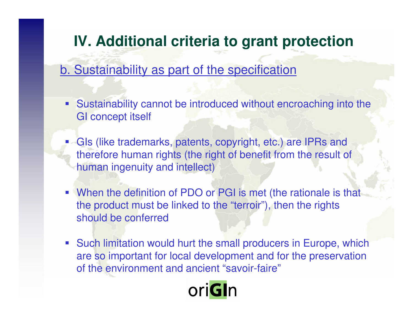# **IV. Additional criteria to grant protection**

#### b. Sustainability as part of the specification

- $\blacksquare$  Sustainability cannot be introduced without encroaching into theGI concept itself
- **GIs** (like trademarks, patents, copyright, etc.) are IPRs and therefore human rights (the right of benefit from the result of human ingenuity and intellect)
- When the definition of PDO or PGI is met (the rationale is that the product must be linked to the "terroir"), then the rights should be conferred
- Such limitation would hurt the small producers in Europe, which are so important for local development and for the preservation of the environment and ancient "savoir-faire"

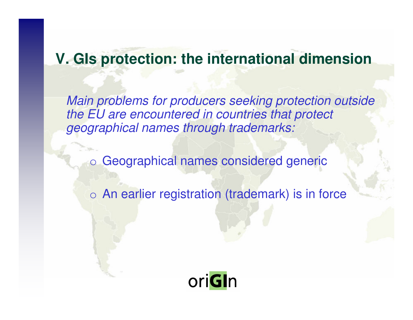## **V. GIs protection: the international dimension**

Main problems for producers seeking protection outside the EU are encountered in countries that protect geographical names through trademarks:

o Geographical names considered generic

o An earlier registration (trademark) is in force

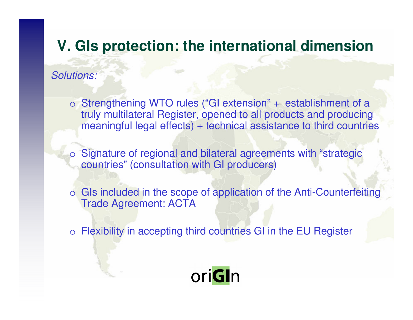### **V. GIs protection: the international dimension**

Solutions:

o Strengthening WTO rules ("GI extension" + establishment of a truly multilateral Register, opened to all products and producing meaningful legal effects) + technical assistance to third countries

o Signature of regional and bilateral agreements with "strategic countries" (consultation with GI producers)

o GIs included in the scope of application of the Anti-Counterfeiting Trade Agreement: ACTA

o Flexibility in accepting third countries GI in the EU Register